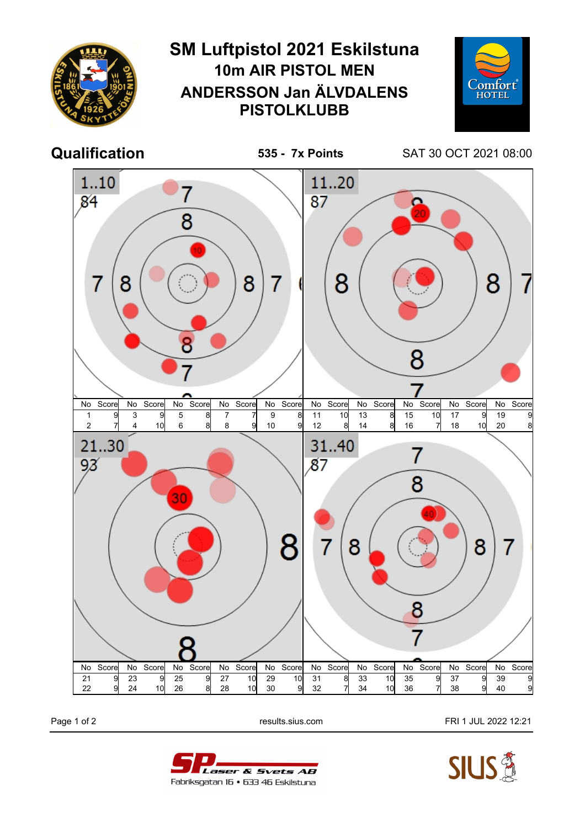

Page 1 of 2 results.sius.com FRI 1 JUL 2022 12:21